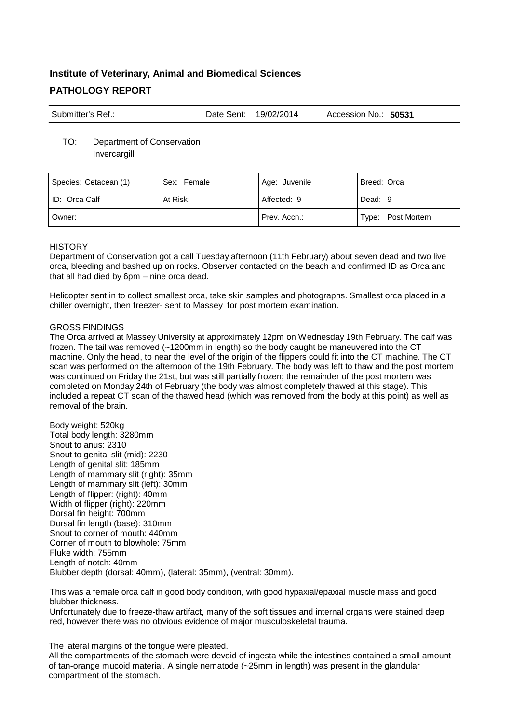# **Institute of Veterinary, Animal and Biomedical Sciences PATHOLOGY REPORT**

| Submitter's Ref.: | Date Sent: | 19/02/2014 | 50531<br>Accession No.: |
|-------------------|------------|------------|-------------------------|
|-------------------|------------|------------|-------------------------|

# TO: Department of Conservation **Invercargill**

| Species: Cetacean (1) | Sex: Female | Age: Juvenile | Breed: Orca       |
|-----------------------|-------------|---------------|-------------------|
| ID: Orca Calf         | At Risk:    | Affected: 9   | Dead: 9           |
| Owner:                |             | Prev. Accn.:  | Type: Post Mortem |

# **HISTORY**

Department of Conservation got a call Tuesday afternoon (11th February) about seven dead and two live orca, bleeding and bashed up on rocks. Observer contacted on the beach and confirmed ID as Orca and that all had died by 6pm – nine orca dead.

Helicopter sent in to collect smallest orca, take skin samples and photographs. Smallest orca placed in a chiller overnight, then freezer- sent to Massey for post mortem examination.

# GROSS FINDINGS

The Orca arrived at Massey University at approximately 12pm on Wednesday 19th February. The calf was frozen. The tail was removed (~1200mm in length) so the body caught be maneuvered into the CT machine. Only the head, to near the level of the origin of the flippers could fit into the CT machine. The CT scan was performed on the afternoon of the 19th February. The body was left to thaw and the post mortem was continued on Friday the 21st, but was still partially frozen; the remainder of the post mortem was completed on Monday 24th of February (the body was almost completely thawed at this stage). This included a repeat CT scan of the thawed head (which was removed from the body at this point) as well as removal of the brain.

Body weight: 520kg Total body length: 3280mm Snout to anus: 2310 Snout to genital slit (mid): 2230 Length of genital slit: 185mm Length of mammary slit (right): 35mm Length of mammary slit (left): 30mm Length of flipper: (right): 40mm Width of flipper (right): 220mm Dorsal fin height: 700mm Dorsal fin length (base): 310mm Snout to corner of mouth: 440mm Corner of mouth to blowhole: 75mm Fluke width: 755mm Length of notch: 40mm Blubber depth (dorsal: 40mm), (lateral: 35mm), (ventral: 30mm).

This was a female orca calf in good body condition, with good hypaxial/epaxial muscle mass and good blubber thickness.

Unfortunately due to freeze-thaw artifact, many of the soft tissues and internal organs were stained deep red, however there was no obvious evidence of major musculoskeletal trauma.

The lateral margins of the tongue were pleated.

All the compartments of the stomach were devoid of ingesta while the intestines contained a small amount of tan-orange mucoid material. A single nematode (~25mm in length) was present in the glandular compartment of the stomach.